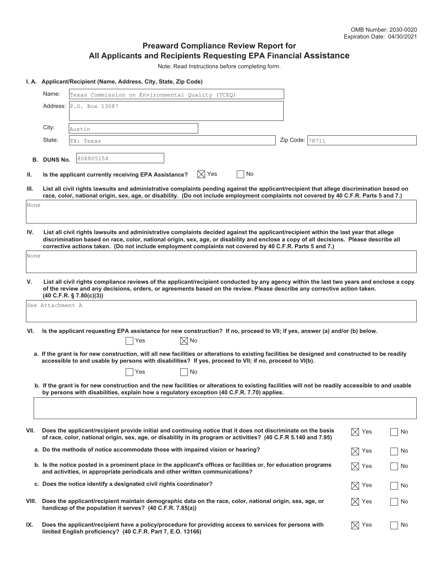#### **Preaward Compliance Review Report for All Applicants and Recipients Requesting EPA Financial Assistance**

Note: Read Instructions before completing form.

#### **I. A. Applicant/Recipient (Name, Address, City, State, Zip Code)**

|       | Name:<br>Texas Commission on Environmental Quality (TCEQ)                                                                                                                                                                                                                                                                                                                                   |                                                                                                                                                                                                                                   |  |                 |                            |    |  |
|-------|---------------------------------------------------------------------------------------------------------------------------------------------------------------------------------------------------------------------------------------------------------------------------------------------------------------------------------------------------------------------------------------------|-----------------------------------------------------------------------------------------------------------------------------------------------------------------------------------------------------------------------------------|--|-----------------|----------------------------|----|--|
|       |                                                                                                                                                                                                                                                                                                                                                                                             | <b>Address:</b> P.O. Box 13087                                                                                                                                                                                                    |  |                 |                            |    |  |
|       |                                                                                                                                                                                                                                                                                                                                                                                             |                                                                                                                                                                                                                                   |  |                 |                            |    |  |
|       | City:                                                                                                                                                                                                                                                                                                                                                                                       | Austin                                                                                                                                                                                                                            |  |                 |                            |    |  |
|       | State:                                                                                                                                                                                                                                                                                                                                                                                      | TX: Texas                                                                                                                                                                                                                         |  | Zip Code: 78711 |                            |    |  |
|       | <b>B. DUNS No.</b>                                                                                                                                                                                                                                                                                                                                                                          | 808805154                                                                                                                                                                                                                         |  |                 |                            |    |  |
| Ш.    |                                                                                                                                                                                                                                                                                                                                                                                             | $\boxtimes$ Yes<br>No<br>Is the applicant currently receiving EPA Assistance?                                                                                                                                                     |  |                 |                            |    |  |
| III.  | List all civil rights lawsuits and administrative complaints pending against the applicant/recipient that allege discrimination based on<br>race, color, national origin, sex, age, or disability. (Do not include employment complaints not covered by 40 C.F.R. Parts 5 and 7.)                                                                                                           |                                                                                                                                                                                                                                   |  |                 |                            |    |  |
| None  |                                                                                                                                                                                                                                                                                                                                                                                             |                                                                                                                                                                                                                                   |  |                 |                            |    |  |
|       |                                                                                                                                                                                                                                                                                                                                                                                             |                                                                                                                                                                                                                                   |  |                 |                            |    |  |
| IV.   | List all civil rights lawsuits and administrative complaints decided against the applicant/recipient within the last year that allege<br>discrimination based on race, color, national origin, sex, age, or disability and enclose a copy of all decisions. Please describe all<br>corrective actions taken. (Do not include employment complaints not covered by 40 C.F.R. Parts 5 and 7.) |                                                                                                                                                                                                                                   |  |                 |                            |    |  |
| None  |                                                                                                                                                                                                                                                                                                                                                                                             |                                                                                                                                                                                                                                   |  |                 |                            |    |  |
| v.    | List all civil rights compliance reviews of the applicant/recipient conducted by any agency within the last two years and enclose a copy<br>of the review and any decisions, orders, or agreements based on the review. Please describe any corrective action taken.<br>(40 C.F.R. § 7.80(c)(3))                                                                                            |                                                                                                                                                                                                                                   |  |                 |                            |    |  |
|       | See Attachment A                                                                                                                                                                                                                                                                                                                                                                            |                                                                                                                                                                                                                                   |  |                 |                            |    |  |
|       |                                                                                                                                                                                                                                                                                                                                                                                             |                                                                                                                                                                                                                                   |  |                 |                            |    |  |
| VI.   | Is the applicant requesting EPA assistance for new construction? If no, proceed to VII; if yes, answer (a) and/or (b) below.                                                                                                                                                                                                                                                                |                                                                                                                                                                                                                                   |  |                 |                            |    |  |
|       | $\boxtimes$ No<br>Yes<br>a. If the grant is for new construction, will all new facilities or alterations to existing facilities be designed and constructed to be readily                                                                                                                                                                                                                   |                                                                                                                                                                                                                                   |  |                 |                            |    |  |
|       | accessible to and usable by persons with disabilities? If yes, proceed to VII; if no, proceed to VI(b).                                                                                                                                                                                                                                                                                     |                                                                                                                                                                                                                                   |  |                 |                            |    |  |
|       | Yes<br>No                                                                                                                                                                                                                                                                                                                                                                                   |                                                                                                                                                                                                                                   |  |                 |                            |    |  |
|       | b. If the grant is for new construction and the new facilities or alterations to existing facilities will not be readily accessible to and usable<br>by persons with disabilities, explain how a regulatory exception (40 C.F.R. 7.70) applies.                                                                                                                                             |                                                                                                                                                                                                                                   |  |                 |                            |    |  |
|       |                                                                                                                                                                                                                                                                                                                                                                                             |                                                                                                                                                                                                                                   |  |                 |                            |    |  |
|       |                                                                                                                                                                                                                                                                                                                                                                                             |                                                                                                                                                                                                                                   |  |                 |                            |    |  |
| VII.  |                                                                                                                                                                                                                                                                                                                                                                                             | Does the applicant/recipient provide initial and continuing notice that it does not discriminate on the basis<br>of race, color, national origin, sex, age, or disability in its program or activities? (40 C.F.R 5.140 and 7.95) |  |                 | $\bowtie$<br>Yes           | No |  |
|       |                                                                                                                                                                                                                                                                                                                                                                                             | a. Do the methods of notice accommodate those with impaired vision or hearing?                                                                                                                                                    |  |                 | $\boxtimes$<br>Yes         | No |  |
|       | b. Is the notice posted in a prominent place in the applicant's offices or facilities or, for education programs<br>and activities, in appropriate periodicals and other written communications?                                                                                                                                                                                            |                                                                                                                                                                                                                                   |  |                 | $ \!\!\!\times\!\!\! $ Yes | No |  |
|       |                                                                                                                                                                                                                                                                                                                                                                                             | c. Does the notice identify a designated civil rights coordinator?                                                                                                                                                                |  |                 | $\boxtimes$<br>Yes         | No |  |
| VIII. |                                                                                                                                                                                                                                                                                                                                                                                             | Does the applicant/recipient maintain demographic data on the race, color, national origin, sex, age, or<br>handicap of the population it serves? (40 C.F.R. 7.85(a))                                                             |  |                 | $\bowtie$<br>Yes           | No |  |
| IX.   |                                                                                                                                                                                                                                                                                                                                                                                             | Does the applicant/recipient have a policy/procedure for providing access to services for persons with<br>limited English proficiency? (40 C.F.R. Part 7, E.O. 13166)                                                             |  |                 | $\bowtie$<br>Yes           | No |  |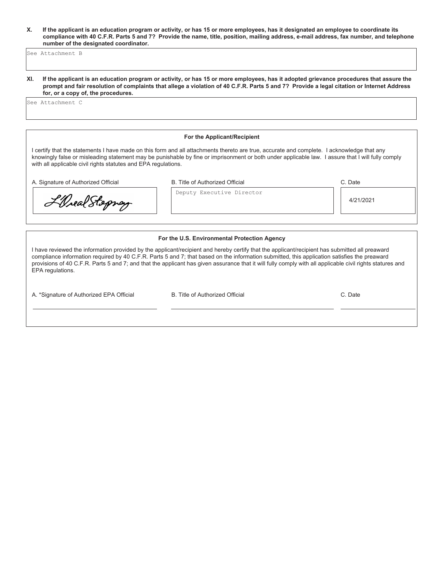**X. If the applicant is an education program or activity, or has 15 or more employees, has it designated an employee to coordinate its compliance with 40 C.F.R. Parts 5 and 7? Provide the name, title, position, mailing address, e-mail address, fax number, and telephone number of the designated coordinator.**

See Attachment B

**XI. If the applicant is an education program or activity, or has 15 or more employees, has it adopted grievance procedures that assure the prompt and fair resolution of complaints that allege a violation of 40 C.F.R. Parts 5 and 7? Provide a legal citation or Internet Address for, or a copy of, the procedures.**

See Attachment C

#### **For the Applicant/Recipient**

I certify that the statements I have made on this form and all attachments thereto are true, accurate and complete. I acknowledge that any knowingly false or misleading statement may be punishable by fine or imprisonment or both under applicable law. I assure that I will fully comply with all applicable civil rights statutes and EPA regulations.

Deputy Executive Director

A. Signature of Authorized Official **B.** Title of Authorized Official

L'Oreal Stoprag

C. Date

4/21/2021

#### **For the U.S. Environmental Protection Agency**

I have reviewed the information provided by the applicant/recipient and hereby certify that the applicant/recipient has submitted all preaward compliance information required by 40 C.F.R. Parts 5 and 7; that based on the information submitted, this application satisfies the preaward provisions of 40 C.F.R. Parts 5 and 7; and that the applicant has given assurance that it will fully comply with all applicable civil rights statures and EPA regulations.

A. \*Signature of Authorized EPA Official B. Title of Authorized Official C. Date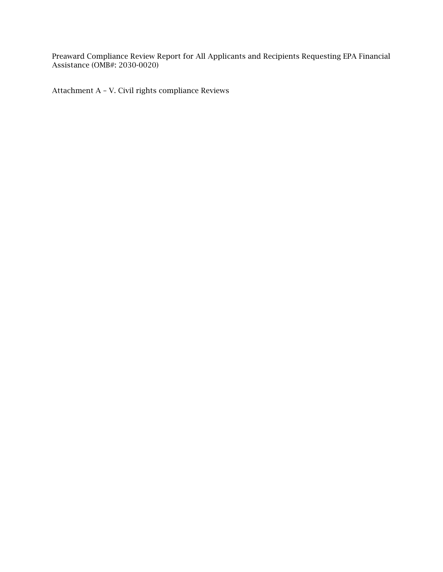Preaward Compliance Review Report for All Applicants and Recipients Requesting EPA Financial Assistance (OMB#: 2030-0020)

Attachment A – V. Civil rights compliance Reviews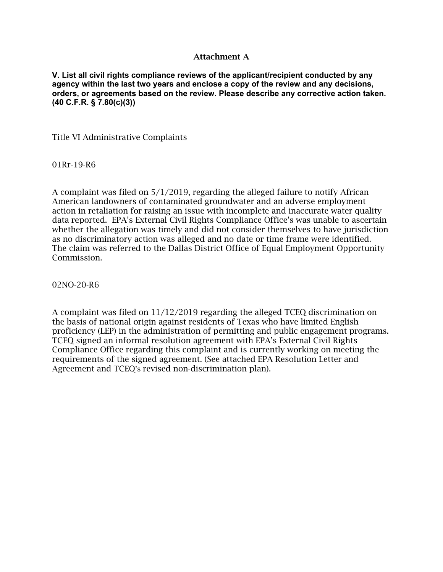#### Attachment A

**V. List all civil rights compliance reviews of the applicant/recipient conducted by any agency within the last two years and enclose a copy of the review and any decisions, orders, or agreements based on the review. Please describe any corrective action taken. (40 C.F.R. § 7.80(c)(3))**

Title VI Administrative Complaints

01Rr-19-R6

A complaint was filed on 5/1/2019, regarding the alleged failure to notify African American landowners of contaminated groundwater and an adverse employment action in retaliation for raising an issue with incomplete and inaccurate water quality data reported. EPA's External Civil Rights Compliance Office's was unable to ascertain whether the allegation was timely and did not consider themselves to have jurisdiction as no discriminatory action was alleged and no date or time frame were identified. The claim was referred to the Dallas District Office of Equal Employment Opportunity Commission.

02NO-20-R6

A complaint was filed on 11/12/2019 regarding the alleged TCEQ discrimination on the basis of national origin against residents of Texas who have limited English proficiency (LEP) in the administration of permitting and public engagement programs. TCEQ signed an informal resolution agreement with EPA's External Civil Rights Compliance Office regarding this complaint and is currently working on meeting the requirements of the signed agreement. (See attached EPA Resolution Letter and Agreement and TCEQ's revised non-discrimination plan).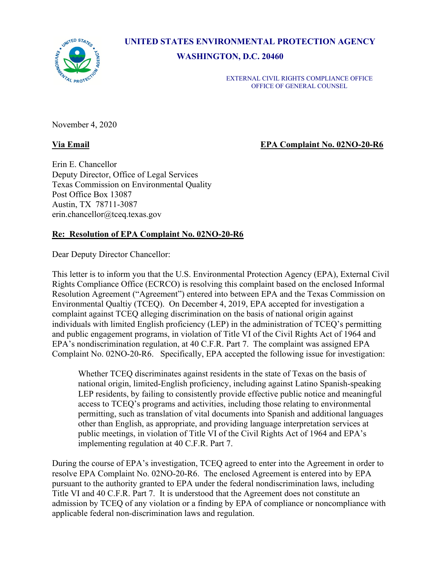UNITED STATES AL PROTE

**UNITED STATES ENVIRONMENTAL PROTECTION AGENCY**

**WASHINGTON, D.C. 20460**

EXTERNAL CIVIL RIGHTS COMPLIANCE OFFICE OFFICE OF GENERAL COUNSEL

November 4, 2020

**Via Email EPA Complaint No. 02NO-20-R6**

Erin E. Chancellor Deputy Director, Office of Legal Services Texas Commission on Environmental Quality Post Office Box 13087 Austin, TX 78711-3087 [erin.chancellor@tceq.texas.gov](mailto:erin.chancellor@tceq.texas.gov)

## **Re: Resolution of EPA Complaint No. 02NO-20-R6**

Dear Deputy Director Chancellor:

This letter is to inform you that the U.S. Environmental Protection Agency (EPA), External Civil Rights Compliance Office (ECRCO) is resolving this complaint based on the enclosed Informal Resolution Agreement ("Agreement") entered into between EPA and the Texas Commission on Environmental Qualtiy (TCEQ). On December 4, 2019, EPA accepted for investigation a complaint against TCEQ alleging discrimination on the basis of national origin against individuals with limited English proficiency (LEP) in the administration of TCEQ's permitting and public engagement programs, in violation of Title VI of the Civil Rights Act of 1964 and EPA's nondiscrimination regulation, at 40 C.F.R. Part 7. The complaint was assigned EPA Complaint No. 02NO-20-R6. Specifically, EPA accepted the following issue for investigation:

Whether TCEQ discriminates against residents in the state of Texas on the basis of national origin, limited-English proficiency, including against Latino Spanish-speaking LEP residents, by failing to consistently provide effective public notice and meaningful access to TCEQ's programs and activities, including those relating to environmental permitting, such as translation of vital documents into Spanish and additional languages other than English, as appropriate, and providing language interpretation services at public meetings, in violation of Title VI of the Civil Rights Act of 1964 and EPA's implementing regulation at 40 C.F.R. Part 7.

During the course of EPA's investigation, TCEQ agreed to enter into the Agreement in order to resolve EPA Complaint No. 02NO-20-R6. The enclosed Agreement is entered into by EPA pursuant to the authority granted to EPA under the federal nondiscrimination laws, including Title VI and 40 C.F.R. Part 7. It is understood that the Agreement does not constitute an admission by TCEQ of any violation or a finding by EPA of compliance or noncompliance with applicable federal non-discrimination laws and regulation.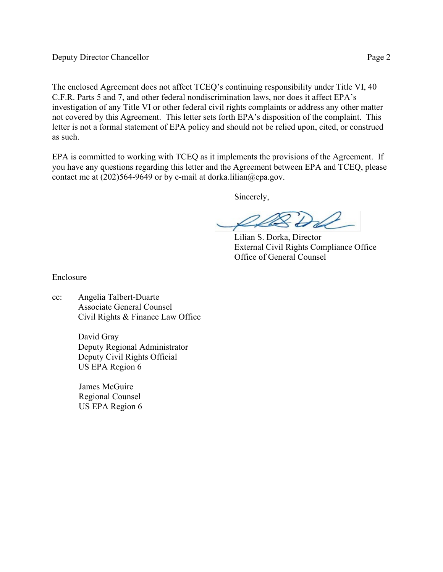The enclosed Agreement does not affect TCEQ's continuing responsibility under Title VI, 40 C.F.R. Parts 5 and 7, and other federal nondiscrimination laws, nor does it affect EPA's investigation of any Title VI or other federal civil rights complaints or address any other matter not covered by this Agreement. This letter sets forth EPA's disposition of the complaint. This letter is not a formal statement of EPA policy and should not be relied upon, cited, or construed as such.

EPA is committed to working with TCEQ as it implements the provisions of the Agreement. If you have any questions regarding this letter and the Agreement between EPA and TCEQ, please contact me at  $(202)564-9649$  or by e-mail at [dorka.lilian@epa.gov.](mailto:dorka.lilian@epa.gov)

Sincerely,

LAS DLL<br>Lilian S. Dorka, Director

External Civil Rights Compliance Office Office of General Counsel

Enclosure

cc: Angelia Talbert-Duarte Associate General Counsel Civil Rights & Finance Law Office

> David Gray Deputy Regional Administrator Deputy Civil Rights Official US EPA Region 6

James McGuire Regional Counsel US EPA Region 6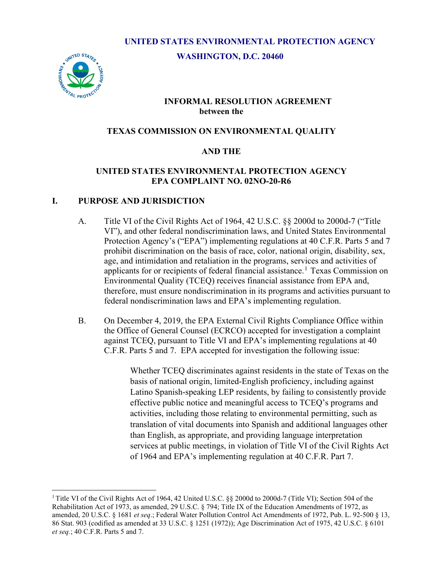# **UNITED STATES ENVIRONMENTAL PROTECTION AGENCY**

**WASHINGTON, D.C. 20460**



#### **INFORMAL RESOLUTION AGREEMENT between the**

#### **TEXAS COMMISSION ON ENVIRONMENTAL QUALITY**

# **AND THE**

#### **UNITED STATES ENVIRONMENTAL PROTECTION AGENCY EPA COMPLAINT NO. 02NO-20-R6**

#### **I. PURPOSE AND JURISDICTION**

- A. Title VI of the Civil Rights Act of 1964, 42 U.S.C. §§ 2000d to 2000d-7 ("Title VI"), and other federal nondiscrimination laws, and United States Environmental Protection Agency's ("EPA") implementing regulations at 40 C.F.R. Parts 5 and 7 prohibit discrimination on the basis of race, color, national origin, disability, sex, age, and intimidation and retaliation in the programs, services and activities of applicants for or recipients of federal financial assistance.<sup>[1](#page-6-0)</sup> Texas Commission on Environmental Quality (TCEQ) receives financial assistance from EPA and, therefore, must ensure nondiscrimination in its programs and activities pursuant to federal nondiscrimination laws and EPA's implementing regulation.
- B. On December 4, 2019, the EPA External Civil Rights Compliance Office within the Office of General Counsel (ECRCO) accepted for investigation a complaint against TCEQ, pursuant to Title VI and EPA's implementing regulations at 40 C.F.R. Parts 5 and 7. EPA accepted for investigation the following issue:

Whether TCEQ discriminates against residents in the state of Texas on the basis of national origin, limited-English proficiency, including against Latino Spanish-speaking LEP residents, by failing to consistently provide effective public notice and meaningful access to TCEQ's programs and activities, including those relating to environmental permitting, such as translation of vital documents into Spanish and additional languages other than English, as appropriate, and providing language interpretation services at public meetings, in violation of Title VI of the Civil Rights Act of 1964 and EPA's implementing regulation at 40 C.F.R. Part 7.

<span id="page-6-0"></span><sup>&</sup>lt;sup>1</sup> Title VI of the Civil Rights Act of 1964, 42 United U.S.C. §§ 2000d to 2000d-7 (Title VI); Section 504 of the Rehabilitation Act of 1973, as amended, 29 U.S.C. § 794; Title IX of the Education Amendments of 1972, as amended, 20 U.S.C. § 1681 *et seq*.; Federal Water Pollution Control Act Amendments of 1972, Pub. L. 92-500 § 13, 86 Stat. 903 (codified as amended at 33 U.S.C. § 1251 (1972)); Age Discrimination Act of 1975, 42 U.S.C. § 6101 *et seq.*; 40 C.F.R. Parts 5 and 7.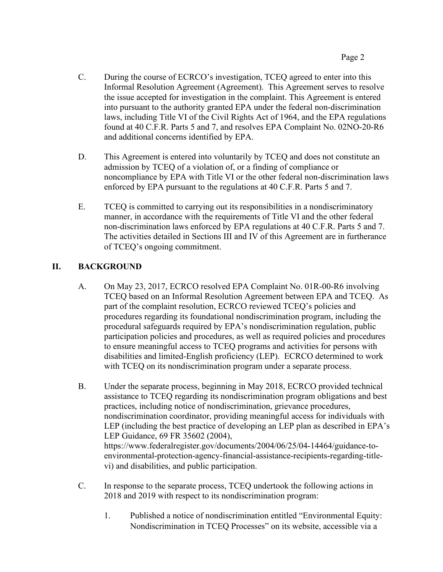- C. During the course of ECRCO's investigation, TCEQ agreed to enter into this Informal Resolution Agreement (Agreement). This Agreement serves to resolve the issue accepted for investigation in the complaint. This Agreement is entered into pursuant to the authority granted EPA under the federal non-discrimination laws, including Title VI of the Civil Rights Act of 1964, and the EPA regulations found at 40 C.F.R. Parts 5 and 7, and resolves EPA Complaint No. 02NO-20-R6 and additional concerns identified by EPA.
- D. This Agreement is entered into voluntarily by TCEQ and does not constitute an admission by TCEQ of a violation of, or a finding of compliance or noncompliance by EPA with Title VI or the other federal non-discrimination laws enforced by EPA pursuant to the regulations at 40 C.F.R. Parts 5 and 7.
- E. TCEQ is committed to carrying out its responsibilities in a nondiscriminatory manner, in accordance with the requirements of Title VI and the other federal non-discrimination laws enforced by EPA regulations at 40 C.F.R. Parts 5 and 7. The activities detailed in Sections III and IV of this Agreement are in furtherance of TCEQ's ongoing commitment.

# **II. BACKGROUND**

- A. On May 23, 2017, ECRCO resolved EPA Complaint No. 01R-00-R6 involving TCEQ based on an Informal Resolution Agreement between EPA and TCEQ. As part of the complaint resolution, ECRCO reviewed TCEQ's policies and procedures regarding its foundational nondiscrimination program, including the procedural safeguards required by EPA's nondiscrimination regulation, public participation policies and procedures, as well as required policies and procedures to ensure meaningful access to TCEQ programs and activities for persons with disabilities and limited-English proficiency (LEP). ECRCO determined to work with TCEQ on its nondiscrimination program under a separate process.
- B. Under the separate process, beginning in May 2018, ECRCO provided technical assistance to TCEQ regarding its nondiscrimination program obligations and best practices, including notice of nondiscrimination, grievance procedures, nondiscrimination coordinator, providing meaningful access for individuals with LEP (including the best practice of developing an LEP plan as described in EPA's LEP Guidance, 69 FR 35602 (2004), [https://www.federalregister.gov/documents/2004/06/25/04-14464/guidance-to](https://www.federalregister.gov/documents/2004/06/25/04-14464/guidance-to-environmental-protection-agency-financial-assistance-recipients-regarding-title-vi)[environmental-protection-agency-financial-assistance-recipients-regarding-title](https://www.federalregister.gov/documents/2004/06/25/04-14464/guidance-to-environmental-protection-agency-financial-assistance-recipients-regarding-title-vi)[vi\)](https://www.federalregister.gov/documents/2004/06/25/04-14464/guidance-to-environmental-protection-agency-financial-assistance-recipients-regarding-title-vi) and disabilities, and public participation.
- C. In response to the separate process, TCEQ undertook the following actions in 2018 and 2019 with respect to its nondiscrimination program:
	- 1. Published a notice of nondiscrimination entitled "Environmental Equity: Nondiscrimination in TCEQ Processes" on its website, accessible via a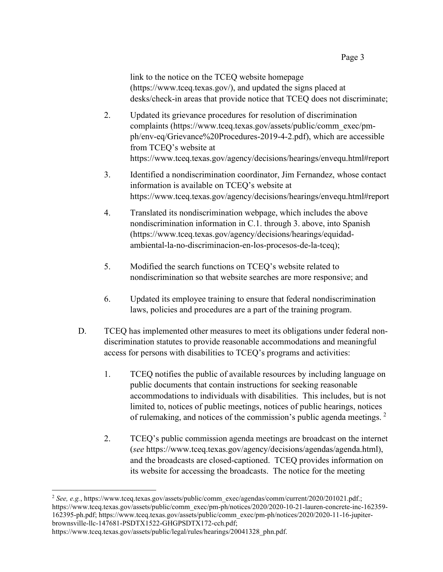link to the notice on the TCEQ website homepage [\(https://www.tceq.texas.gov/\)](https://www.tceq.texas.gov/), and updated the signs placed at desks/check-in areas that provide notice that TCEQ does not discriminate;

- 2. Updated its grievance procedures for resolution of discrimination complaints [\(https://www.tceq.texas.gov/assets/public/comm\\_exec/pm](https://www.tceq.texas.gov/assets/public/comm_exec/pm-ph/env-eq/Grievance%20Procedures-2019-4-2.pdf)[ph/env-eq/Grievance%20Procedures-2019-4-2.pdf\)](https://www.tceq.texas.gov/assets/public/comm_exec/pm-ph/env-eq/Grievance%20Procedures-2019-4-2.pdf), which are accessible from TCEQ's website at <https://www.tceq.texas.gov/agency/decisions/hearings/envequ.html#report>
- 3. Identified a nondiscrimination coordinator, Jim Fernandez, whose contact information is available on TCEQ's website at <https://www.tceq.texas.gov/agency/decisions/hearings/envequ.html#report>
- 4. Translated its nondiscrimination webpage, which includes the above nondiscrimination information in C.1. through 3. above, into Spanish [\(https://www.tceq.texas.gov/agency/decisions/hearings/equidad](https://www.tceq.texas.gov/agency/decisions/hearings/equidad-ambiental-la-no-discriminacion-en-los-procesos-de-la-tceq)[ambiental-la-no-discriminacion-en-los-procesos-de-la-tceq\)](https://www.tceq.texas.gov/agency/decisions/hearings/equidad-ambiental-la-no-discriminacion-en-los-procesos-de-la-tceq);
- 5. Modified the search functions on TCEQ's website related to nondiscrimination so that website searches are more responsive; and
- 6. Updated its employee training to ensure that federal nondiscrimination laws, policies and procedures are a part of the training program.
- D. TCEQ has implemented other measures to meet its obligations under federal nondiscrimination statutes to provide reasonable accommodations and meaningful access for persons with disabilities to TCEQ's programs and activities:
	- 1. TCEQ notifies the public of available resources by including language on public documents that contain instructions for seeking reasonable accommodations to individuals with disabilities. This includes, but is not limited to, notices of public meetings, notices of public hearings, notices of rulemaking, and notices of the commission's public agenda meetings. [2](#page-8-0)
	- 2. TCEQ's public commission agenda meetings are broadcast on the internet (*see* https://www.tceq.texas.gov/agency/decisions/agendas/agenda.html), and the broadcasts are closed-captioned. TCEQ provides information on its website for accessing the broadcasts. The notice for the meeting

<span id="page-8-0"></span><sup>&</sup>lt;sup>2</sup> See, e.g., https://www.tceq.texas.gov/assets/public/comm\_exec/agendas/comm/current/2020/201021.pdf.; [https://www.tceq.texas.gov/assets/public/comm\\_exec/pm-ph/notices/2020/2020-10-21-lauren-concrete-inc-162359-](https://www.tceq.texas.gov/assets/public/comm_exec/pm-ph/notices/2020/2020-10-21-lauren-concrete-inc-162359-162395-ph.pdf) [162395-ph.pdf;](https://www.tceq.texas.gov/assets/public/comm_exec/pm-ph/notices/2020/2020-10-21-lauren-concrete-inc-162359-162395-ph.pdf) [https://www.tceq.texas.gov/assets/public/comm\\_exec/pm-ph/notices/2020/2020-11-16-jupiter](https://www.tceq.texas.gov/assets/public/comm_exec/pm-ph/notices/2020/2020-11-16-jupiter-brownsville-llc-147681-PSDTX1522-GHGPSDTX172-cch.pdf)[brownsville-llc-147681-PSDTX1522-GHGPSDTX172-cch.pdf;](https://www.tceq.texas.gov/assets/public/comm_exec/pm-ph/notices/2020/2020-11-16-jupiter-brownsville-llc-147681-PSDTX1522-GHGPSDTX172-cch.pdf)

https://www.tceq.texas.gov/assets/public/legal/rules/hearings/20041328\_phn.pdf.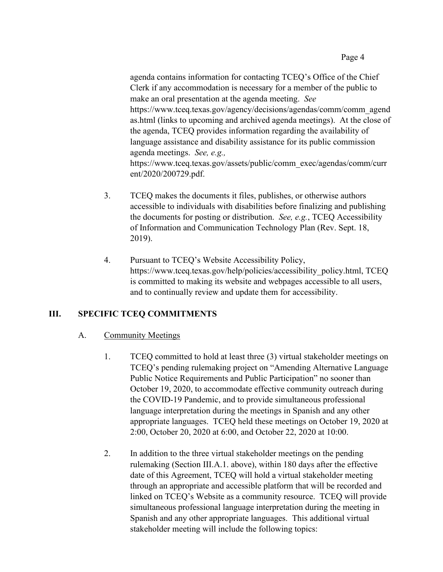agenda contains information for contacting TCEQ's Office of the Chief Clerk if any accommodation is necessary for a member of the public to make an oral presentation at the agenda meeting. *See*  [https://www.tceq.texas.gov/agency/decisions/agendas/comm/comm\\_agend](https://www.tceq.texas.gov/agency/decisions/agendas/comm/comm_agendas.html) [as.html](https://www.tceq.texas.gov/agency/decisions/agendas/comm/comm_agendas.html) (links to upcoming and archived agenda meetings). At the close of the agenda, TCEQ provides information regarding the availability of language assistance and disability assistance for its public commission agenda meetings. *See, e.g.,*  [https://www.tceq.texas.gov/assets/public/comm\\_exec/agendas/comm/curr](https://www.tceq.texas.gov/assets/public/comm_exec/agendas/comm/current/2020/200729.pdf) [ent/2020/200729.pdf.](https://www.tceq.texas.gov/assets/public/comm_exec/agendas/comm/current/2020/200729.pdf)

- 3. TCEQ makes the documents it files, publishes, or otherwise authors accessible to individuals with disabilities before finalizing and publishing the documents for posting or distribution. *See, e.g.*, TCEQ Accessibility of Information and Communication Technology Plan (Rev. Sept. 18, 2019).
- 4. Pursuant to TCEQ's Website Accessibility Policy, [https://www.tceq.texas.gov/help/policies/accessibility\\_policy.html,](https://www.tceq.texas.gov/help/policies/accessibility_policy.html) TCEQ is committed to making its website and webpages accessible to all users, and to continually review and update them for accessibility.

#### **III. SPECIFIC TCEQ COMMITMENTS**

#### A. Community Meetings

- 1. TCEQ committed to hold at least three (3) virtual stakeholder meetings on TCEQ's pending rulemaking project on "Amending Alternative Language Public Notice Requirements and Public Participation" no sooner than October 19, 2020, to accommodate effective community outreach during the COVID-19 Pandemic, and to provide simultaneous professional language interpretation during the meetings in Spanish and any other appropriate languages. TCEQ held these meetings on October 19, 2020 at 2:00, October 20, 2020 at 6:00, and October 22, 2020 at 10:00.
- 2. In addition to the three virtual stakeholder meetings on the pending rulemaking (Section III.A.1. above), within 180 days after the effective date of this Agreement, TCEQ will hold a virtual stakeholder meeting through an appropriate and accessible platform that will be recorded and linked on TCEQ's Website as a community resource. TCEQ will provide simultaneous professional language interpretation during the meeting in Spanish and any other appropriate languages. This additional virtual stakeholder meeting will include the following topics: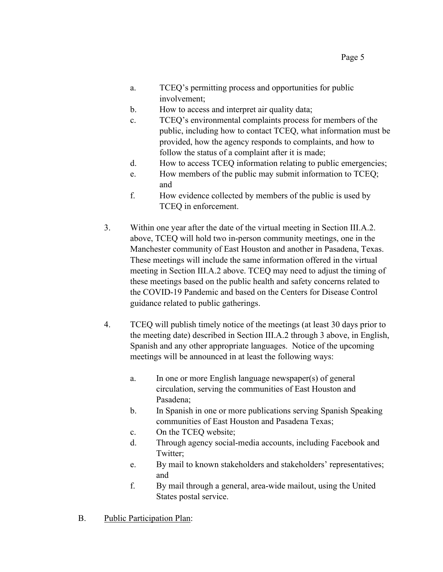- a. TCEQ's permitting process and opportunities for public involvement;
- b. How to access and interpret air quality data;
- c. TCEQ's environmental complaints process for members of the public, including how to contact TCEQ, what information must be provided, how the agency responds to complaints, and how to follow the status of a complaint after it is made;
- d. How to access TCEQ information relating to public emergencies;
- e. How members of the public may submit information to TCEQ; and
- f. How evidence collected by members of the public is used by TCEQ in enforcement.
- 3. Within one year after the date of the virtual meeting in Section III.A.2. above, TCEQ will hold two in-person community meetings, one in the Manchester community of East Houston and another in Pasadena, Texas. These meetings will include the same information offered in the virtual meeting in Section III.A.2 above. TCEQ may need to adjust the timing of these meetings based on the public health and safety concerns related to the COVID-19 Pandemic and based on the Centers for Disease Control guidance related to public gatherings.
- 4. TCEQ will publish timely notice of the meetings (at least 30 days prior to the meeting date) described in Section III.A.2 through 3 above, in English, Spanish and any other appropriate languages. Notice of the upcoming meetings will be announced in at least the following ways:
	- a. In one or more English language newspaper(s) of general circulation, serving the communities of East Houston and Pasadena;
	- b. In Spanish in one or more publications serving Spanish Speaking communities of East Houston and Pasadena Texas;
	- c. On the TCEQ website;
	- d. Through agency social-media accounts, including Facebook and Twitter;
	- e. By mail to known stakeholders and stakeholders' representatives; and
	- f. By mail through a general, area-wide mailout, using the United States postal service.
- B. Public Participation Plan: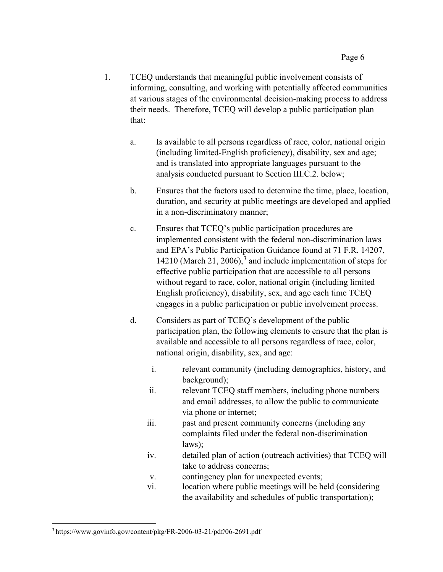- 1. TCEQ understands that meaningful public involvement consists of informing, consulting, and working with potentially affected communities at various stages of the environmental decision-making process to address their needs. Therefore, TCEQ will develop a public participation plan that:
	- a. Is available to all persons regardless of race, color, national origin (including limited-English proficiency), disability, sex and age; and is translated into appropriate languages pursuant to the analysis conducted pursuant to Section III.C.2. below;
	- b. Ensures that the factors used to determine the time, place, location, duration, and security at public meetings are developed and applied in a non-discriminatory manner;
	- c. Ensures that TCEQ's public participation procedures are implemented consistent with the federal non-discrimination laws and EPA's Public Participation Guidance found at 71 F.R. 14207, 14210 (March 21, 2006), [3](#page-11-0) and include implementation of steps for effective public participation that are accessible to all persons without regard to race, color, national origin (including limited English proficiency), disability, sex, and age each time TCEQ engages in a public participation or public involvement process.
	- d. Considers as part of TCEQ's development of the public participation plan, the following elements to ensure that the plan is available and accessible to all persons regardless of race, color, national origin, disability, sex, and age:
		- i. relevant community (including demographics, history, and background);
		- ii. relevant TCEQ staff members, including phone numbers and email addresses, to allow the public to communicate via phone or internet;
		- iii. past and present community concerns (including any complaints filed under the federal non-discrimination laws);
		- iv. detailed plan of action (outreach activities) that TCEQ will take to address concerns;
		- v. contingency plan for unexpected events;
		- vi. location where public meetings will be held (considering the availability and schedules of public transportation);

<span id="page-11-0"></span><sup>3</sup> https://www.govinfo.gov/content/pkg/FR-2006-03-21/pdf/06-2691.pdf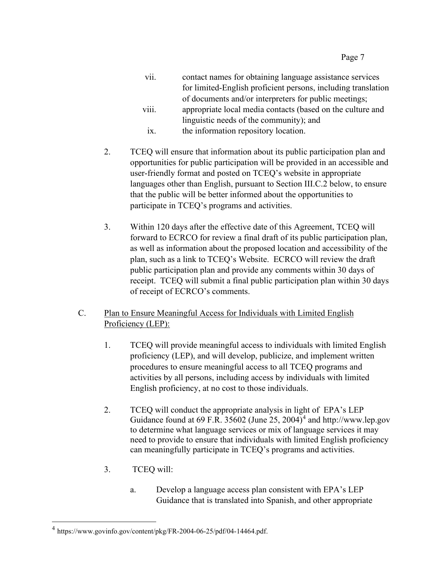- vii. contact names for obtaining language assistance services for limited-English proficient persons, including translation of documents and/or interpreters for public meetings; viii. appropriate local media contacts (based on the culture and
- linguistic needs of the community); and
- ix. the information repository location.
- 2. TCEQ will ensure that information about its public participation plan and opportunities for public participation will be provided in an accessible and user-friendly format and posted on TCEQ's website in appropriate languages other than English, pursuant to Section III.C.2 below, to ensure that the public will be better informed about the opportunities to participate in TCEQ's programs and activities.
- 3. Within 120 days after the effective date of this Agreement, TCEQ will forward to ECRCO for review a final draft of its public participation plan, as well as information about the proposed location and accessibility of the plan, such as a link to TCEQ's Website. ECRCO will review the draft public participation plan and provide any comments within 30 days of receipt. TCEQ will submit a final public participation plan within 30 days of receipt of ECRCO's comments.

## C. Plan to Ensure Meaningful Access for Individuals with Limited English Proficiency (LEP):

- 1. TCEQ will provide meaningful access to individuals with limited English proficiency (LEP), and will develop, publicize, and implement written procedures to ensure meaningful access to all TCEQ programs and activities by all persons, including access by individuals with limited English proficiency, at no cost to those individuals.
- 2. TCEQ will conduct the appropriate analysis in light of EPA's LEP Guidance found at 69 F.R. 35602 (June 25, 200[4](#page-12-0))<sup>4</sup> and [http://www.lep.gov](http://www.lep.gov/) to determine what language services or mix of language services it may need to provide to ensure that individuals with limited English proficiency can meaningfully participate in TCEQ's programs and activities.
- 3. TCEQ will:
	- a. Develop a language access plan consistent with EPA's LEP Guidance that is translated into Spanish, and other appropriate

<span id="page-12-0"></span> $^4$  https://www.govinfo.gov/content/pkg/FR-2004-06-25/pdf/04-14464.pdf.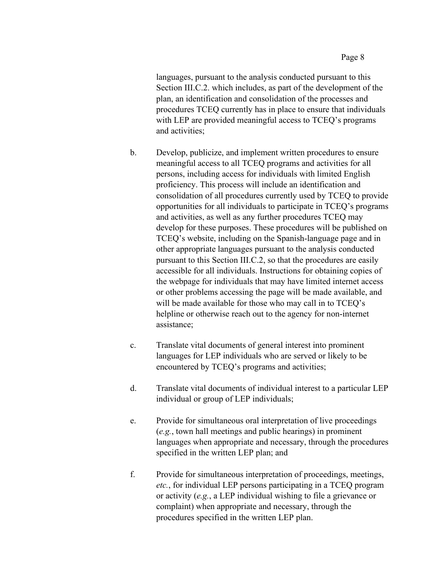languages, pursuant to the analysis conducted pursuant to this Section III.C.2. which includes, as part of the development of the plan, an identification and consolidation of the processes and procedures TCEQ currently has in place to ensure that individuals with LEP are provided meaningful access to TCEQ's programs and activities;

- b. Develop, publicize, and implement written procedures to ensure meaningful access to all TCEQ programs and activities for all persons, including access for individuals with limited English proficiency. This process will include an identification and consolidation of all procedures currently used by TCEQ to provide opportunities for all individuals to participate in TCEQ's programs and activities, as well as any further procedures TCEQ may develop for these purposes. These procedures will be published on TCEQ's website, including on the Spanish-language page and in other appropriate languages pursuant to the analysis conducted pursuant to this Section III.C.2, so that the procedures are easily accessible for all individuals. Instructions for obtaining copies of the webpage for individuals that may have limited internet access or other problems accessing the page will be made available, and will be made available for those who may call in to TCEO's helpline or otherwise reach out to the agency for non-internet assistance;
- c. Translate vital documents of general interest into prominent languages for LEP individuals who are served or likely to be encountered by TCEQ's programs and activities;
- d. Translate vital documents of individual interest to a particular LEP individual or group of LEP individuals;
- e. Provide for simultaneous oral interpretation of live proceedings (*e.g.*, town hall meetings and public hearings) in prominent languages when appropriate and necessary, through the procedures specified in the written LEP plan; and
- f. Provide for simultaneous interpretation of proceedings, meetings, *etc.*, for individual LEP persons participating in a TCEQ program or activity (*e.g.*, a LEP individual wishing to file a grievance or complaint) when appropriate and necessary, through the procedures specified in the written LEP plan.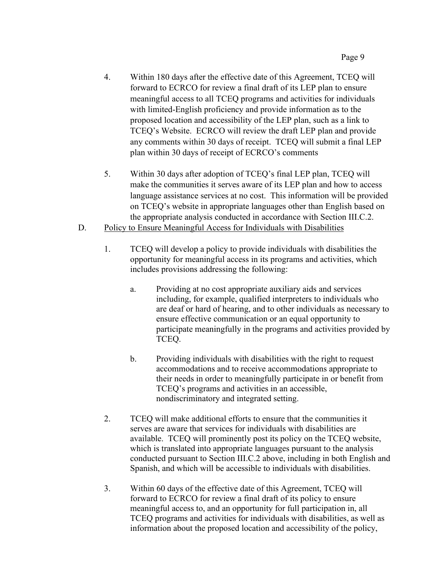- 4. Within 180 days after the effective date of this Agreement, TCEQ will forward to ECRCO for review a final draft of its LEP plan to ensure meaningful access to all TCEQ programs and activities for individuals with limited-English proficiency and provide information as to the proposed location and accessibility of the LEP plan, such as a link to TCEQ's Website. ECRCO will review the draft LEP plan and provide any comments within 30 days of receipt. TCEQ will submit a final LEP plan within 30 days of receipt of ECRCO's comments
- 5. Within 30 days after adoption of TCEQ's final LEP plan, TCEQ will make the communities it serves aware of its LEP plan and how to access language assistance services at no cost. This information will be provided on TCEQ's website in appropriate languages other than English based on the appropriate analysis conducted in accordance with Section III.C.2.
- D. Policy to Ensure Meaningful Access for Individuals with Disabilities
	- 1. TCEQ will develop a policy to provide individuals with disabilities the opportunity for meaningful access in its programs and activities, which includes provisions addressing the following:
		- a. Providing at no cost appropriate auxiliary aids and services including, for example, qualified interpreters to individuals who are deaf or hard of hearing, and to other individuals as necessary to ensure effective communication or an equal opportunity to participate meaningfully in the programs and activities provided by TCEQ.
		- b. Providing individuals with disabilities with the right to request accommodations and to receive accommodations appropriate to their needs in order to meaningfully participate in or benefit from TCEQ's programs and activities in an accessible, nondiscriminatory and integrated setting.
	- 2. TCEQ will make additional efforts to ensure that the communities it serves are aware that services for individuals with disabilities are available. TCEQ will prominently post its policy on the TCEQ website, which is translated into appropriate languages pursuant to the analysis conducted pursuant to Section III.C.2 above, including in both English and Spanish, and which will be accessible to individuals with disabilities.
	- 3. Within 60 days of the effective date of this Agreement, TCEQ will forward to ECRCO for review a final draft of its policy to ensure meaningful access to, and an opportunity for full participation in, all TCEQ programs and activities for individuals with disabilities, as well as information about the proposed location and accessibility of the policy,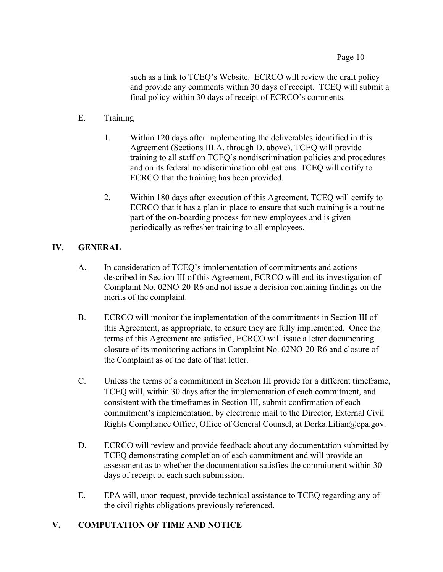Page 10

such as a link to TCEQ's Website. ECRCO will review the draft policy and provide any comments within 30 days of receipt. TCEQ will submit a final policy within 30 days of receipt of ECRCO's comments.

#### E. Training

- 1. Within 120 days after implementing the deliverables identified in this Agreement (Sections III.A. through D. above), TCEQ will provide training to all staff on TCEQ's nondiscrimination policies and procedures and on its federal nondiscrimination obligations. TCEQ will certify to ECRCO that the training has been provided.
- 2. Within 180 days after execution of this Agreement, TCEQ will certify to ECRCO that it has a plan in place to ensure that such training is a routine part of the on-boarding process for new employees and is given periodically as refresher training to all employees.

## **IV. GENERAL**

- A. In consideration of TCEQ's implementation of commitments and actions described in Section III of this Agreement, ECRCO will end its investigation of Complaint No. 02NO-20-R6 and not issue a decision containing findings on the merits of the complaint.
- B. ECRCO will monitor the implementation of the commitments in Section III of this Agreement, as appropriate, to ensure they are fully implemented. Once the terms of this Agreement are satisfied, ECRCO will issue a letter documenting closure of its monitoring actions in Complaint No. 02NO-20-R6 and closure of the Complaint as of the date of that letter.
- C. Unless the terms of a commitment in Section III provide for a different timeframe, TCEQ will, within 30 days after the implementation of each commitment, and consistent with the timeframes in Section III, submit confirmation of each commitment's implementation, by electronic mail to the Director, External Civil Rights Compliance Office, Office of General Counsel, at [Dorka.Lilian@epa.gov.](mailto:Dorka.Lilian@epa.gov)
- D. ECRCO will review and provide feedback about any documentation submitted by TCEQ demonstrating completion of each commitment and will provide an assessment as to whether the documentation satisfies the commitment within 30 days of receipt of each such submission.
- E. EPA will, upon request, provide technical assistance to TCEQ regarding any of the civil rights obligations previously referenced.

#### **V. COMPUTATION OF TIME AND NOTICE**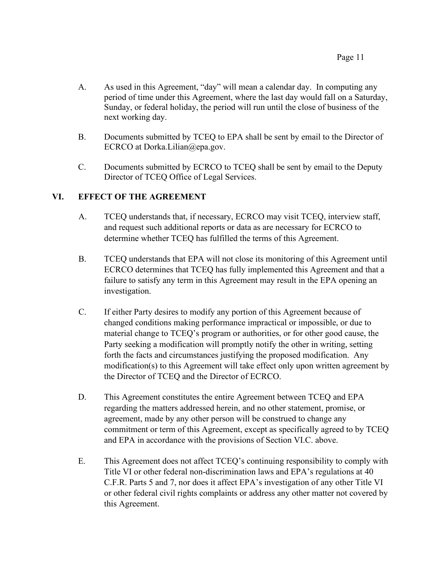- A. As used in this Agreement, "day" will mean a calendar day. In computing any period of time under this Agreement, where the last day would fall on a Saturday, Sunday, or federal holiday, the period will run until the close of business of the next working day.
- B. Documents submitted by TCEQ to EPA shall be sent by email to the Director of ECRCO at Dorka.Lilian@epa.gov.
- C. Documents submitted by ECRCO to TCEQ shall be sent by email to the Deputy Director of TCEQ Office of Legal Services.

## **VI. EFFECT OF THE AGREEMENT**

- A. TCEQ understands that, if necessary, ECRCO may visit TCEQ, interview staff, and request such additional reports or data as are necessary for ECRCO to determine whether TCEQ has fulfilled the terms of this Agreement.
- B. TCEQ understands that EPA will not close its monitoring of this Agreement until ECRCO determines that TCEQ has fully implemented this Agreement and that a failure to satisfy any term in this Agreement may result in the EPA opening an investigation.
- C. If either Party desires to modify any portion of this Agreement because of changed conditions making performance impractical or impossible, or due to material change to TCEQ's program or authorities, or for other good cause, the Party seeking a modification will promptly notify the other in writing, setting forth the facts and circumstances justifying the proposed modification. Any modification(s) to this Agreement will take effect only upon written agreement by the Director of TCEQ and the Director of ECRCO.
- D. This Agreement constitutes the entire Agreement between TCEQ and EPA regarding the matters addressed herein, and no other statement, promise, or agreement, made by any other person will be construed to change any commitment or term of this Agreement, except as specifically agreed to by TCEQ and EPA in accordance with the provisions of Section VI.C. above.
- E. This Agreement does not affect TCEQ's continuing responsibility to comply with Title VI or other federal non-discrimination laws and EPA's regulations at 40 C.F.R. Parts 5 and 7, nor does it affect EPA's investigation of any other Title VI or other federal civil rights complaints or address any other matter not covered by this Agreement.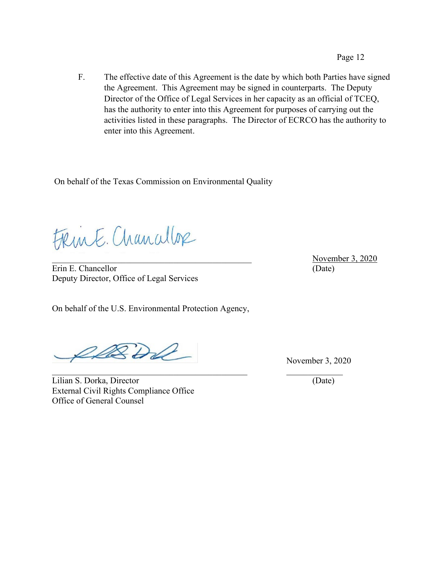F. The effective date of this Agreement is the date by which both Parties have signed the Agreement. This Agreement may be signed in counterparts. The Deputy Director of the Office of Legal Services in her capacity as an official of TCEQ, has the authority to enter into this Agreement for purposes of carrying out the activities listed in these paragraphs. The Director of ECRCO has the authority to enter into this Agreement.

On behalf of the Texas Commission on Environmental Quality

FRink. Chancellop

Erin E. Chancellor (Date) Deputy Director, Office of Legal Services

On behalf of the U.S. Environmental Protection Agency,

DBDD

Lilian S. Dorka, Director (Date) External Civil Rights Compliance Office Office of General Counsel

November 3, 2020

November 3, 2020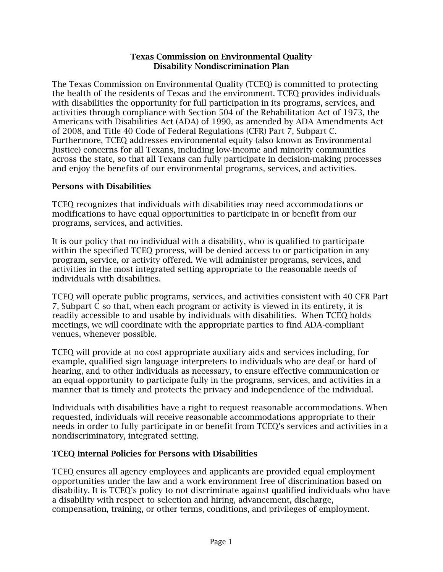#### Texas Commission on Environmental Quality Disability Nondiscrimination Plan

The Texas Commission on Environmental Quality (TCEQ) is committed to protecting the health of the residents of Texas and the environment. TCEQ provides individuals with disabilities the opportunity for full participation in its programs, services, and activities through compliance with Section 504 of the Rehabilitation Act of 1973, the Americans with Disabilities Act (ADA) of 1990, as amended by ADA Amendments Act of 2008, and Title 40 Code of Federal Regulations (CFR) Part 7, Subpart C. Furthermore, TCEQ addresses environmental equity (also known as Environmental Justice) concerns for all Texans, including low-income and minority communities across the state, so that all Texans can fully participate in decision-making processes and enjoy the benefits of our environmental programs, services, and activities.

#### Persons with Disabilities

TCEQ recognizes that individuals with disabilities may need accommodations or modifications to have equal opportunities to participate in or benefit from our programs, services, and activities.

It is our policy that no individual with a disability, who is qualified to participate within the specified TCEQ process, will be denied access to or participation in any program, service, or activity offered. We will administer programs, services, and activities in the most integrated setting appropriate to the reasonable needs of individuals with disabilities.

TCEQ will operate public programs, services, and activities consistent with 40 CFR Part 7, Subpart C so that, when each program or activity is viewed in its entirety, it is readily accessible to and usable by individuals with disabilities. When TCEQ holds meetings, we will coordinate with the appropriate parties to find ADA-compliant venues, whenever possible.

TCEQ will provide at no cost appropriate auxiliary aids and services including, for example, qualified sign language interpreters to individuals who are deaf or hard of hearing, and to other individuals as necessary, to ensure effective communication or an equal opportunity to participate fully in the programs, services, and activities in a manner that is timely and protects the privacy and independence of the individual.

Individuals with disabilities have a right to request reasonable accommodations. When requested, individuals will receive reasonable accommodations appropriate to their needs in order to fully participate in or benefit from TCEQ's services and activities in a nondiscriminatory, integrated setting.

#### TCEQ Internal Policies for Persons with Disabilities

TCEQ ensures all agency employees and applicants are provided equal employment opportunities under the law and a work environment free of discrimination based on disability. It is TCEQ's policy to not discriminate against qualified individuals who have a disability with respect to selection and hiring, advancement, discharge, compensation, training, or other terms, conditions, and privileges of employment.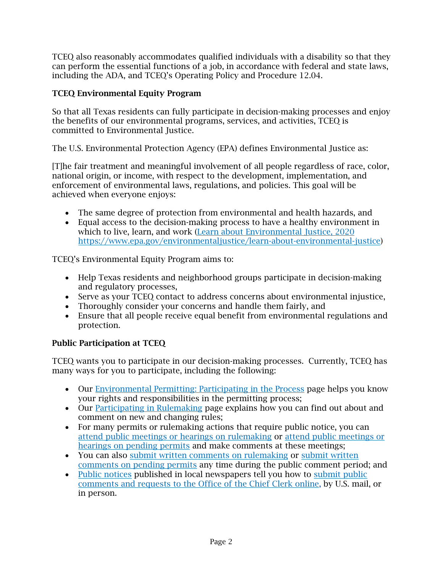TCEQ also reasonably accommodates qualified individuals with a disability so that they can perform the essential functions of a job, in accordance with federal and state laws, including the ADA, and TCEQ's Operating Policy and Procedure 12.04.

# TCEQ Environmental Equity Program

So that all Texas residents can fully participate in decision-making processes and enjoy the benefits of our environmental programs, services, and activities, TCEQ is committed to Environmental Justice.

The U.S. Environmental Protection Agency (EPA) defines Environmental Justice as:

[T]he fair treatment and meaningful involvement of all people regardless of race, color, national origin, or income, with respect to the development, implementation, and enforcement of environmental laws, regulations, and policies. This goal will be achieved when everyone enjoys:

- The same degree of protection from environmental and health hazards, and
- Equal access to the decision-making process to have a healthy environment in which to live, learn, and work [\(Learn about Environmental Justice, 2020](https://www.epa.gov/environmentaljustice/learn-about-environmental-justice) [https://www.epa.gov/environmentaljustice/learn-about-environmental-justice\)](https://www.epa.gov/environmentaljustice/learn-about-environmental-justice)

TCEQ's Environmental Equity Program aims to:

- Help Texas residents and neighborhood groups participate in decision-making and regulatory processes,
- Serve as your TCEQ contact to address concerns about environmental injustice,
- Thoroughly consider your concerns and handle them fairly, and
- Ensure that all people receive equal benefit from environmental regulations and protection.

# Public Participation at TCEQ

TCEQ wants you to participate in our decision-making processes. Currently, TCEQ has many ways for you to participate, including the following:

- Our [Environmental Permitting: Participating in the Process](https://www.tceq.texas.gov/goto/pep) page helps you know your rights and responsibilities in the permitting process;
- Our [Participating in Rulemaking](https://www.tceq.texas.gov/rules/participate.html) page explains how you can find out about and comment on new and changing rules;
- For many permits or rulemaking actions that require public notice, you can [attend public meetings or hearings on rulemaking](https://www.tceq.texas.gov/rules/hearings.html) or [attend public meetings or](https://www.tceq.texas.gov/agency/decisions/hearings)  [hearings on pending permits](https://www.tceq.texas.gov/agency/decisions/hearings) and make comments at these meetings;
- You can also [submit written comments on rulemaking](https://www.tceq.texas.gov/rules/howtocomment.html) or [submit written](https://www.tceq.texas.gov/goto/comment)  [comments on pending permits](https://www.tceq.texas.gov/goto/comment) any time during the public comment period; and
- [Public notices](https://www.tceq.texas.gov/agency/decisions/cc/pub_notice.html) published in local newspapers tell you how to submit public [comments and requests to the Office of the Chief Clerk online,](https://www.tceq.texas.gov/goto/comment) by U.S. mail, or in person.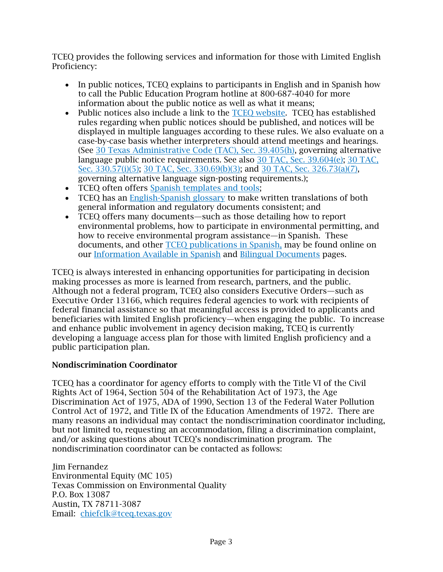TCEQ provides the following services and information for those with Limited English Proficiency:

- In public notices, TCEQ explains to participants in English and in Spanish how to call the Public Education Program hotline at 800-687-4040 for more information about the public notice as well as what it means;
- Public notices also include a link to the TCEO website. TCEO has established rules regarding when public notices should be published, and notices will be displayed in multiple languages according to these rules. We also evaluate on a case-by-case basis whether interpreters should attend meetings and hearings. (See [30 Texas Administrative Code \(TAC\), Sec. 39.405\(h\),](https://texreg.sos.state.tx.us/public/readtac%24ext.TacPage?sl=R&app=9&p_dir=&p_rloc=&p_tloc=&p_ploc=&pg=1&p_tac=&ti=30&pt=1&ch=39&rl=405) governing alternative language public notice requirements. See also [30 TAC, Sec. 39.604\(e\);](https://texreg.sos.state.tx.us/public/readtac%24ext.TacPage?sl=R&app=9&p_dir=&p_rloc=&p_tloc=&p_ploc=&pg=1&p_tac=&ti=30&pt=1&ch=39&rl=604) [30 TAC,](https://texreg.sos.state.tx.us/public/readtac%24ext.TacPage?sl=R&app=9&p_dir=&p_rloc=&p_tloc=&p_ploc=&pg=1&p_tac=&ti=30&pt=1&ch=330&rl=57)  [Sec. 330.57\(i\)\(5\);](https://texreg.sos.state.tx.us/public/readtac%24ext.TacPage?sl=R&app=9&p_dir=&p_rloc=&p_tloc=&p_ploc=&pg=1&p_tac=&ti=30&pt=1&ch=330&rl=57) [30 TAC, Sec. 330.69\(b\)\(3\);](https://texreg.sos.state.tx.us/public/readtac%24ext.TacPage?sl=R&app=9&p_dir=&p_rloc=&p_tloc=&p_ploc=&pg=1&p_tac=&ti=30&pt=1&ch=330&rl=69) and [30 TAC, Sec. 326.73\(a\)\(7\),](https://texreg.sos.state.tx.us/public/readtac%24ext.TacPage?sl=T&app=9&p_dir=P&p_rloc=177815&p_tloc=14910&p_ploc=1&pg=2&p_tac=&ti=30&pt=1&ch=326&rl=75) governing alternative language sign-posting requirements.);
- TCEQ often offers [Spanish templates and tools;](https://www.tceq.texas.gov/permitting/air/bilingual/biling1_templates.html)
- TCEQ has an [English-Spanish glossary](https://www.tceq.texas.gov/assets/public/comm_exec/pubs/Eng-SpnGlossary.pdf) to make written translations of both general information and regulatory documents consistent; and
- TCEQ offers many documents—such as those detailing how to report environmental problems, how to participate in environmental permitting, and how to receive environmental program assistance—in Spanish. These documents, and other [TCEQ publications in Spanish,](https://www.tceq.texas.gov/en_espanol/pubs_spanish.html) may be found online on our [Information Available in Spanish](https://www.tceq.texas.gov/en_espanol/index_english.html) and [Bilingual Documents](https://www.tceq.texas.gov/permitting/air/bilingual) pages.

TCEQ is always interested in enhancing opportunities for participating in decision making processes as more is learned from research, partners, and the public. Although not a federal program, TCEQ also considers Executive Orders—such as Executive Order 13166, which requires federal agencies to work with recipients of federal financial assistance so that meaningful access is provided to applicants and beneficiaries with limited English proficiency—when engaging the public. To increase and enhance public involvement in agency decision making, TCEQ is currently developing a language access plan for those with limited English proficiency and a public participation plan.

#### Nondiscrimination Coordinator

TCEQ has a coordinator for agency efforts to comply with the Title VI of the Civil Rights Act of 1964, Section 504 of the Rehabilitation Act of 1973, the Age Discrimination Act of 1975, ADA of 1990, Section 13 of the Federal Water Pollution Control Act of 1972, and Title IX of the Education Amendments of 1972. There are many reasons an individual may contact the nondiscrimination coordinator including, but not limited to, requesting an accommodation, filing a discrimination complaint, and/or asking questions about TCEQ's nondiscrimination program. The nondiscrimination coordinator can be contacted as follows:

Jim Fernandez Environmental Equity (MC 105) Texas Commission on Environmental Quality P.O. Box 13087 Austin, TX 78711-3087 Email: [chiefclk@tceq.texas.gov](mailto:chiefclk@tceq.texas.gov)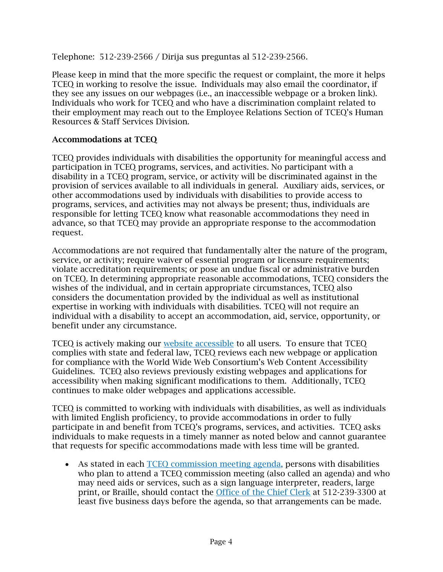Telephone: 512-239-2566 / Dirija sus preguntas al 512-239-2566*.*

Please keep in mind that the more specific the request or complaint, the more it helps TCEQ in working to resolve the issue. Individuals may also email the coordinator, if they see any issues on our webpages (i.e., an inaccessible webpage or a broken link). Individuals who work for TCEQ and who have a discrimination complaint related to their employment may reach out to the Employee Relations Section of TCEQ's Human Resources & Staff Services Division.

#### Accommodations at TCEQ

TCEQ provides individuals with disabilities the opportunity for meaningful access and participation in TCEQ programs, services, and activities. No participant with a disability in a TCEQ program, service, or activity will be discriminated against in the provision of services available to all individuals in general. Auxiliary aids, services, or other accommodations used by individuals with disabilities to provide access to programs, services, and activities may not always be present; thus, individuals are responsible for letting TCEQ know what reasonable accommodations they need in advance, so that TCEQ may provide an appropriate response to the accommodation request.

Accommodations are not required that fundamentally alter the nature of the program, service, or activity; require waiver of essential program or licensure requirements; violate accreditation requirements; or pose an undue fiscal or administrative burden on TCEQ. In determining appropriate reasonable accommodations, TCEQ considers the wishes of the individual, and in certain appropriate circumstances, TCEQ also considers the documentation provided by the individual as well as institutional expertise in working with individuals with disabilities. TCEQ will not require an individual with a disability to accept an accommodation, aid, service, opportunity, or benefit under any circumstance.

TCEQ is actively making our [website accessible](https://www.tceq.texas.gov/help/policies/accessibility_policy.html) to all users. To ensure that TCEQ complies with state and federal law, TCEQ reviews each new webpage or application for compliance with the World Wide Web Consortium's Web Content Accessibility Guidelines. TCEQ also reviews previously existing webpages and applications for accessibility when making significant modifications to them. Additionally, TCEQ continues to make older webpages and applications accessible.

TCEQ is committed to working with individuals with disabilities, as well as individuals with limited English proficiency, to provide accommodations in order to fully participate in and benefit from TCEQ's programs, services, and activities. TCEQ asks individuals to make requests in a timely manner as noted below and cannot guarantee that requests for specific accommodations made with less time will be granted.

• As stated in each [TCEQ commission meeting agenda,](https://www.tceq.texas.gov/agency/decisions/agendas/comm/comm_agendas.html) persons with disabilities who plan to attend a TCEQ commission meeting (also called an agenda) and who may need aids or services, such as a sign language interpreter, readers, large print, or Braille, should contact the [Office of the Chief Clerk](https://www.tceq.texas.gov/agency/decisions/agendas/comm/comm_agendas.html#address) at 512-239-3300 at least five business days before the agenda, so that arrangements can be made.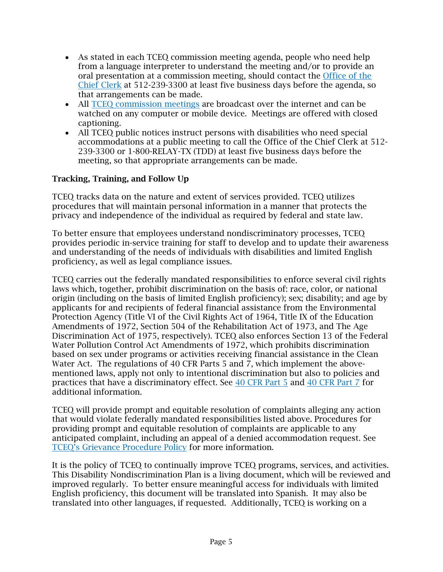- As stated in each TCEQ commission meeting agenda, people who need help from a language interpreter to understand the meeting and/or to provide an oral presentation at a commission meeting, should contact the [Office of the](https://www.tceq.texas.gov/agency/decisions/agendas/comm/comm_agendas.html#address)  [Chief Clerk](https://www.tceq.texas.gov/agency/decisions/agendas/comm/comm_agendas.html#address) at 512-239-3300 at least five business days before the agenda, so that arrangements can be made.
- All TCEO commission meetings are broadcast over the internet and can be watched on any computer or mobile device. Meetings are offered with closed captioning.
- All TCEQ public notices instruct persons with disabilities who need special accommodations at a public meeting to call the Office of the Chief Clerk at 512- 239-3300 or 1-800-RELAY-TX (TDD) at least five business days before the meeting, so that appropriate arrangements can be made.

## Tracking, Training, and Follow Up

TCEQ tracks data on the nature and extent of services provided. TCEQ utilizes procedures that will maintain personal information in a manner that protects the privacy and independence of the individual as required by federal and state law.

To better ensure that employees understand nondiscriminatory processes, TCEQ provides periodic in-service training for staff to develop and to update their awareness and understanding of the needs of individuals with disabilities and limited English proficiency, as well as legal compliance issues.

TCEQ carries out the federally mandated responsibilities to enforce several civil rights laws which, together, prohibit discrimination on the basis of: race, color, or national origin (including on the basis of limited English proficiency); sex; disability; and age by applicants for and recipients of federal financial assistance from the Environmental Protection Agency (Title VI of the Civil Rights Act of 1964, Title IX of the Education Amendments of 1972, Section 504 of the Rehabilitation Act of 1973, and The Age Discrimination Act of 1975, respectively). TCEQ also enforces Section 13 of the Federal Water Pollution Control Act Amendments of 1972, which prohibits discrimination based on sex under programs or activities receiving financial assistance in the Clean Water Act. The regulations of 40 CFR Parts 5 and 7, which implement the abovementioned laws, apply not only to intentional discrimination but also to policies and practices that have a discriminatory effect. See [40 CFR Part 5](https://www.ecfr.gov/cgi-bin/text-idx?SID=c65a5ccb2967eec1cd8599133393885c&mc=true&node=pt40.1.5&rgn=div5) and [40 CFR Part 7](https://www.ecfr.gov/cgi-bin/text-idx?SID=b8c3d8eae556a1b98225f7f3d9bc937e&mc=true&node=pt40.1.7&rgn=div5) for additional information.

TCEQ will provide prompt and equitable resolution of complaints alleging any action that would violate federally mandated responsibilities listed above. Procedures for providing prompt and equitable resolution of complaints are applicable to any anticipated complaint, including an appeal of a denied accommodation request. See [TCEQ's Grievance Pro](https://www.tceq.texas.gov/assets/public/comm_exec/pm-ph/env-eq/Grievance%20Procedures-2019-4-2.pdf)cedure Policy for more information.

It is the policy of TCEQ to continually improve TCEQ programs, services, and activities. This Disability Nondiscrimination Plan is a living document, which will be reviewed and improved regularly. To better ensure meaningful access for individuals with limited English proficiency, this document will be translated into Spanish. It may also be translated into other languages, if requested. Additionally, TCEQ is working on a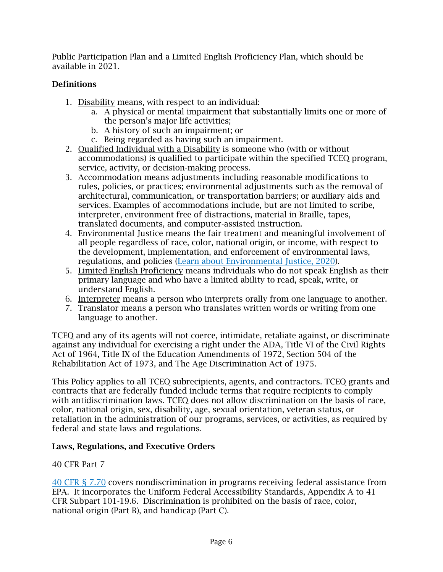Public Participation Plan and a Limited English Proficiency Plan, which should be available in 2021.

# Definitions

- 1. Disability means, with respect to an individual:
	- a. A physical or mental impairment that substantially limits one or more of the person's major life activities;
	- b. A history of such an impairment; or
	- c. Being regarded as having such an impairment.
- 2. Qualified Individual with a Disability is someone who (with or without accommodations) is qualified to participate within the specified TCEQ program, service, activity, or decision-making process.
- 3. Accommodation means adjustments including reasonable modifications to rules, policies, or practices; environmental adjustments such as the removal of architectural, communication, or transportation barriers; or auxiliary aids and services. Examples of accommodations include, but are not limited to scribe, interpreter, environment free of distractions, material in Braille, tapes, translated documents, and computer-assisted instruction.
- 4. Environmental Justice means the fair treatment and meaningful involvement of all people regardless of race, color, national origin, or income, with respect to the development, implementation, and enforcement of environmental laws, regulations, and policies [\(Learn about Environmental Justice, 2020\)](https://www.epa.gov/environmentaljustice/learn-about-environmental-justice).
- 5. Limited English Proficiency means individuals who do not speak English as their primary language and who have a limited ability to read, speak, write, or understand English.
- 6. Interpreter means a person who interprets orally from one language to another.
- 7. Translator means a person who translates written words or writing from one language to another.

TCEQ and any of its agents will not coerce, intimidate, retaliate against, or discriminate against any individual for exercising a right under the ADA, Title VI of the Civil Rights Act of 1964, Title IX of the Education Amendments of 1972, Section 504 of the Rehabilitation Act of 1973, and The Age Discrimination Act of 1975.

This Policy applies to all TCEQ subrecipients, agents, and contractors. TCEQ grants and contracts that are federally funded include terms that require recipients to comply with antidiscrimination laws. TCEQ does not allow discrimination on the basis of race, color, national origin, sex, disability, age, sexual orientation, veteran status, or retaliation in the administration of our programs, services, or activities, as required by federal and state laws and regulations.

#### Laws, Regulations, and Executive Orders

#### 40 CFR Part 7

[40 CFR §](https://www.epa.gov/sites/production/files/2013-09/documents/40p0007.pdf) 7.70 covers nondiscrimination in programs receiving federal assistance from EPA. It incorporates the Uniform Federal Accessibility Standards, Appendix A to 41 CFR Subpart 101-19.6. Discrimination is prohibited on the basis of race, color, national origin (Part B), and handicap (Part C).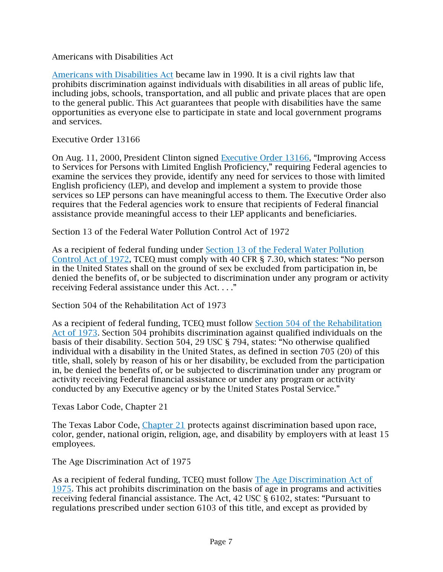Americans with Disabilities Act

[Americans with Disabilities Act](https://www.ada.gov/ada_intro.htm) became law in 1990. It is a civil rights law that prohibits discrimination against individuals with disabilities in all areas of public life, including jobs, schools, transportation, and all public and private places that are open to the general public. This Act guarantees that people with disabilities have the same opportunities as everyone else to participate in state and local government programs and services.

Executive Order 13166

On Aug. 11, 2000, President Clinton signed [Executive Order 13166](http://www.gpo.gov/fdsys/pkg/FR-2000-08-16/pdf/00-20938.pdf), "Improving Access to Services for Person[s with Limited English Proficiency,"](http://www.gpo.gov/fdsys/pkg/FR-2000-08-16/pdf/00-20938.pdf) requiring Federal agencies to examine the services they provide, identify any need for services to those with limited English proficiency (LEP), and develop and implement a system to provide those services so LEP persons can have meaningful access to them. The Executive Order also requires that the Federal agencies work to ensure that recipients of Federal financial assistance provide meaningful access to their LEP applicants and beneficiaries.

Section 13 of the Federal Water Pollution Control Act of 1972

As a recipient of federal funding under [Section 13 of the Federal Water Pollution](https://www.govinfo.gov/content/pkg/USCODE-2011-title33/pdf/USCODE-2011-title33-chap26.pdf)  [Control Act of 1972,](https://www.govinfo.gov/content/pkg/USCODE-2011-title33/pdf/USCODE-2011-title33-chap26.pdf) TCEQ must comply with 40 CFR § 7.30, which states: "No person in the United States shall on the ground of sex be excluded from participation in, be denied the benefits of, or be subjected to discrimination under any program or activity receiving Federal assistance under this Act. . . ."

Section 504 of the Rehabilitation Act of 1973

As a recipient of federal funding, TCEQ must follow Section 504 [of the Rehabilitation](https://www.dol.gov/agencies/oasam/civil-rights-center/statutes/section-504-rehabilitation-act-of-1973)  [Act of 1973.](https://www.dol.gov/agencies/oasam/civil-rights-center/statutes/section-504-rehabilitation-act-of-1973) Section 504 prohibits discrimination against qualified individuals on the basis of their disability. Section 504, 29 USC § 794, states: "No otherwise qualified individual with a disability in the United States, as defined in section 705 (20) of this title, shall, solely by reason of his or her disability, be excluded from the participation in, be denied the benefits of, or be subjected to discrimination under any program or activity receiving Federal financial assistance or under any program or activity conducted by any Executive agency or by the United States Postal Service."

Texas Labor Code, Chapter 21

The Texas Labor Code, [Chapter 21](https://statutes.capitol.texas.gov/Docs/LA/htm/LA.21.htm) protects against discrimination based upon race, color, gender, national origin, religion, age, and disability by employers with at least 15 employees.

The Age Discrimination Act of 1975

As a recipient of federal funding, TCEQ must follow [The Age Discrimination Act of](https://www.dol.gov/oasam/regs/statutes/age_act.htm)  [1975.](https://www.dol.gov/oasam/regs/statutes/age_act.htm) This act prohibits discrimination on the basis of age in programs and activities receiving federal financial assistance. The Act, 42 USC § 6102, states: "Pursuant to regulations prescribed under section 6103 of this title, and except as provided by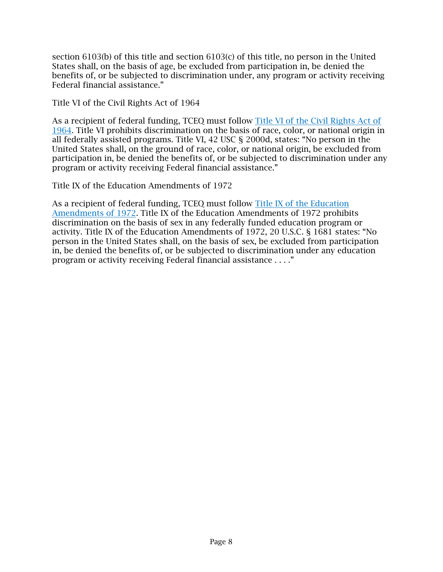section 6103(b) of this title and section 6103(c) of this title, no person in the United States shall, on the basis of age, be excluded from participation in, be denied the benefits of, or be subjected to discrimination under, any program or activity receiving Federal financial assistance."

Title VI of the Civil Rights Act of 1964

As a recipient of federal funding, TCEQ must follow [Title VI of the Civil Rights Act of](https://www.justice.gov/crt/title-vi-1964-civil-rights-act)  [1964.](https://www.justice.gov/crt/title-vi-1964-civil-rights-act) Title VI prohibits discrimination on the basis of race, color, or national origin in all federally assisted programs. Title VI, 42 USC § 2000d, states: "No person in the United States shall, on the ground of race, color, or national origin, be excluded from participation in, be denied the benefits of, or be subjected to discrimination under any program or activity receiving Federal financial assistance."

Title IX of the Education Amendments of 1972

As a recipient of federal funding, TCEQ must follow [Title IX of the Education](https://www.justice.gov/crt/title-ix-education-amendments-1972)  [Amendments of 1972.](https://www.justice.gov/crt/title-ix-education-amendments-1972) Title IX of the Education Amendments of 1972 prohibits discrimination on the basis of sex in any federally funded education program or activity. Title IX of the Education Amendments of 1972, 20 U.S.C. § 1681 states: "No person in the United States shall, on the basis of sex, be excluded from participation in, be denied the benefits of, or be subjected to discrimination under any education program or activity receiving Federal financial assistance . . . ."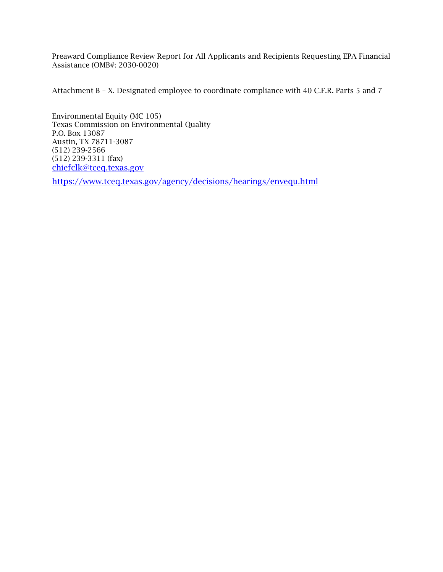Preaward Compliance Review Report for All Applicants and Recipients Requesting EPA Financial Assistance (OMB#: 2030-0020)

Attachment B – X. Designated employee to coordinate compliance with 40 C.F.R. Parts 5 and 7

Environmental Equity (MC 105) Texas Commission on Environmental Quality P.O. Box 13087 Austin, TX 78711-3087 (512) 239-2566 (512) 239-3311 (fax) [chiefclk@tceq.texas.gov](mailto:chiefclk@tceq.texas.gov)

<https://www.tceq.texas.gov/agency/decisions/hearings/envequ.html>